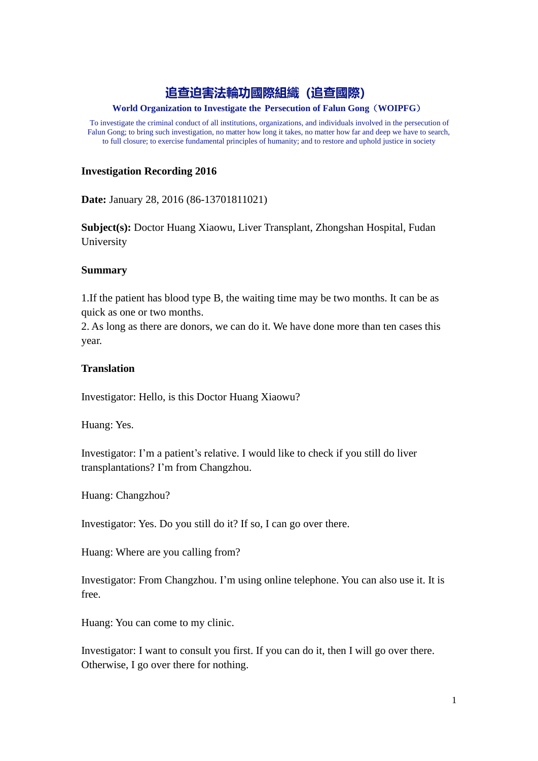# **追查迫害法輪功國際組織(追查國際)**

## **World Organization to Investigate the Persecution of Falun Gong**(**WOIPFG**)

To investigate the criminal conduct of all institutions, organizations, and individuals involved in the persecution of Falun Gong; to bring such investigation, no matter how long it takes, no matter how far and deep we have to search, to full closure; to exercise fundamental principles of humanity; and to restore and uphold justice in society

# **Investigation Recording 2016**

**Date:** January 28, 2016 (86-13701811021)

**Subject(s):** Doctor Huang Xiaowu, Liver Transplant, Zhongshan Hospital, Fudan University

## **Summary**

1.If the patient has blood type B, the waiting time may be two months. It can be as quick as one or two months.

2. As long as there are donors, we can do it. We have done more than ten cases this year.

# **Translation**

Investigator: Hello, is this Doctor Huang Xiaowu?

Huang: Yes.

Investigator: I'm a patient's relative. I would like to check if you still do liver transplantations? I'm from Changzhou.

Huang: Changzhou?

Investigator: Yes. Do you still do it? If so, I can go over there.

Huang: Where are you calling from?

Investigator: From Changzhou. I'm using online telephone. You can also use it. It is free.

Huang: You can come to my clinic.

Investigator: I want to consult you first. If you can do it, then I will go over there. Otherwise, I go over there for nothing.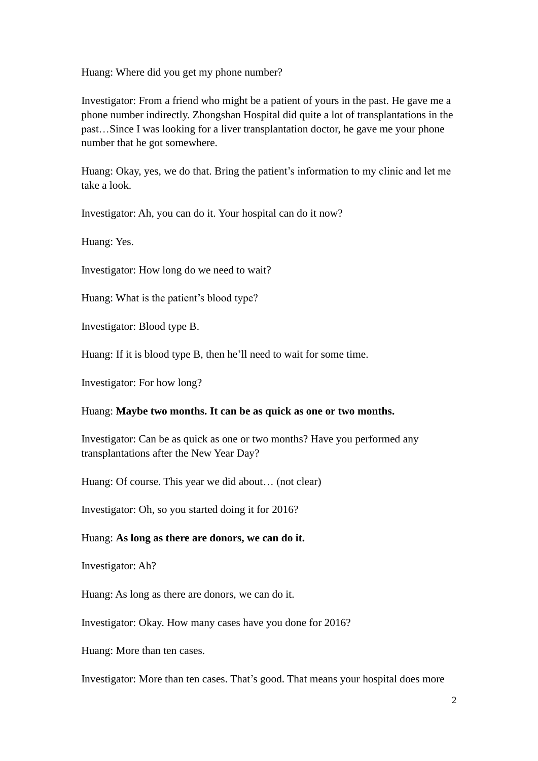Huang: Where did you get my phone number?

Investigator: From a friend who might be a patient of yours in the past. He gave me a phone number indirectly. Zhongshan Hospital did quite a lot of transplantations in the past…Since I was looking for a liver transplantation doctor, he gave me your phone number that he got somewhere.

Huang: Okay, yes, we do that. Bring the patient's information to my clinic and let me take a look.

Investigator: Ah, you can do it. Your hospital can do it now?

Huang: Yes.

Investigator: How long do we need to wait?

Huang: What is the patient's blood type?

Investigator: Blood type B.

Huang: If it is blood type B, then he'll need to wait for some time.

Investigator: For how long?

## Huang: **Maybe two months. It can be as quick as one or two months.**

Investigator: Can be as quick as one or two months? Have you performed any transplantations after the New Year Day?

Huang: Of course. This year we did about… (not clear)

Investigator: Oh, so you started doing it for 2016?

## Huang: **As long as there are donors, we can do it.**

Investigator: Ah?

Huang: As long as there are donors, we can do it.

Investigator: Okay. How many cases have you done for 2016?

Huang: More than ten cases.

Investigator: More than ten cases. That's good. That means your hospital does more